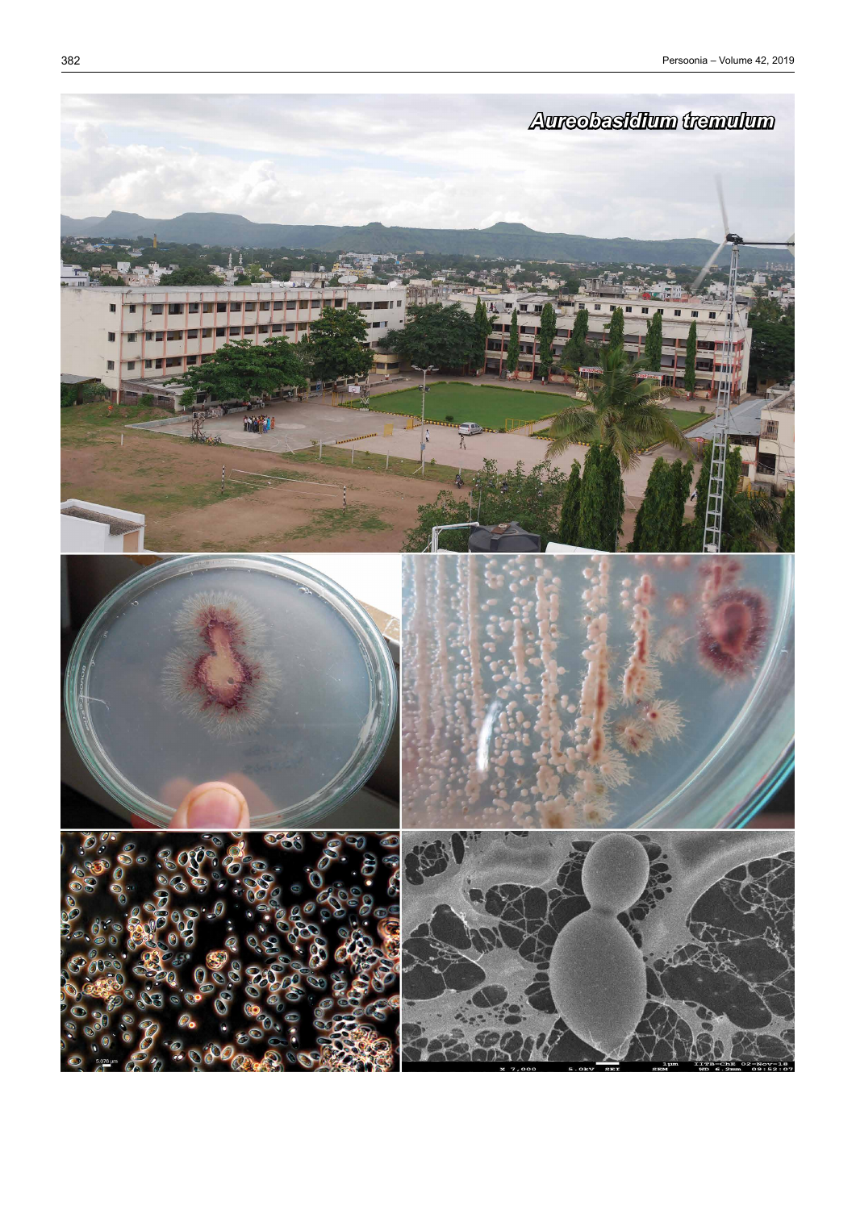